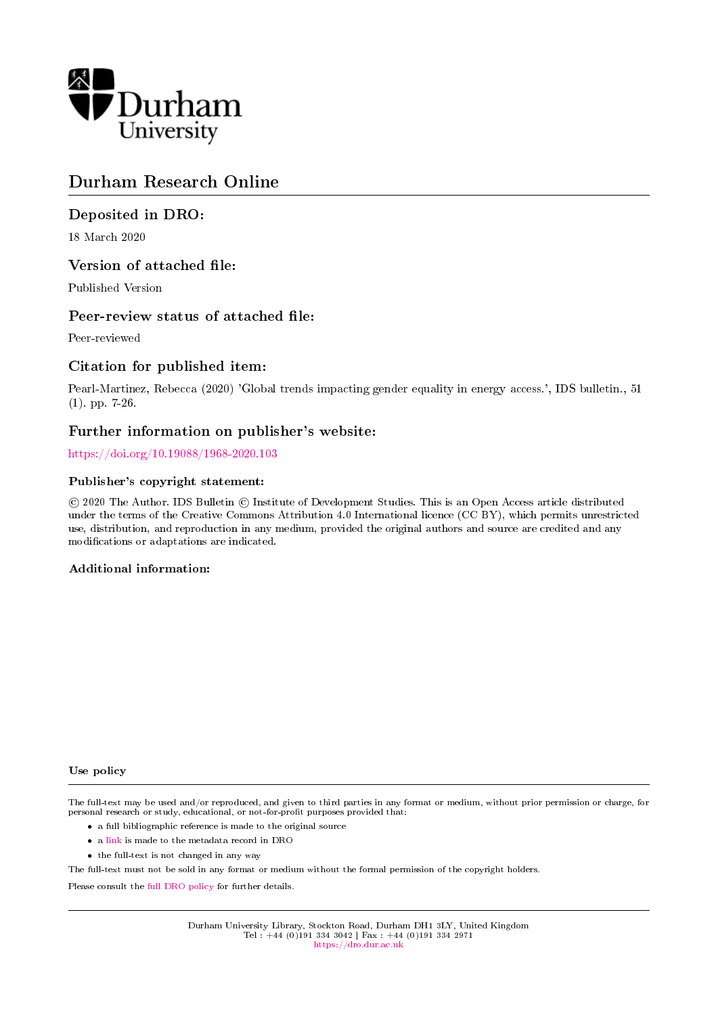

# Durham Research Online

# Deposited in DRO:

18 March 2020

# Version of attached file:

Published Version

# Peer-review status of attached file:

Peer-reviewed

# Citation for published item:

Pearl-Martinez, Rebecca (2020) 'Global trends impacting gender equality in energy access.', IDS bulletin., 51 (1). pp. 7-26.

# Further information on publisher's website:

<https://doi.org/10.19088/1968-2020.103>

# Publisher's copyright statement:

 c 2020 The Author. IDS Bulletin c Institute of Development Studies. This is an Open Access article distributed under the terms of the Creative Commons Attribution 4.0 International licence (CC BY), which permits unrestricted use, distribution, and reproduction in any medium, provided the original authors and source are credited and any modifications or adaptations are indicated.

# Additional information:

#### Use policy

The full-text may be used and/or reproduced, and given to third parties in any format or medium, without prior permission or charge, for personal research or study, educational, or not-for-profit purposes provided that:

- a full bibliographic reference is made to the original source
- a [link](http://dro.dur.ac.uk/30449/) is made to the metadata record in DRO
- the full-text is not changed in any way

The full-text must not be sold in any format or medium without the formal permission of the copyright holders.

Please consult the [full DRO policy](https://dro.dur.ac.uk/policies/usepolicy.pdf) for further details.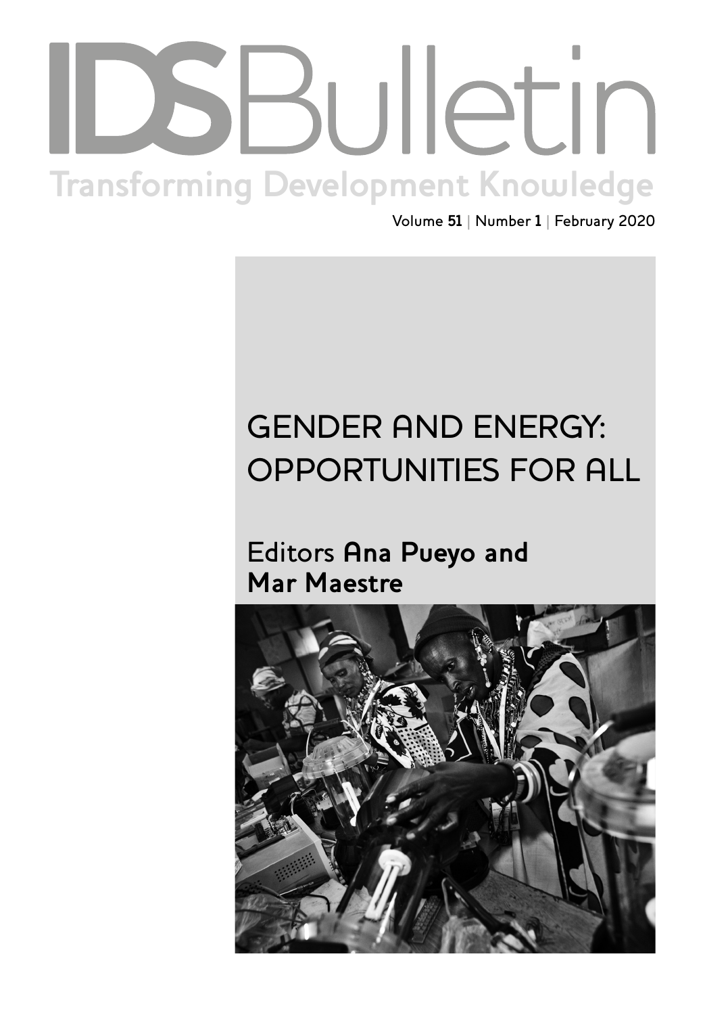# Institute of Development Studies | **[bulletin.ids.ac.uk](http://bulletin.ids.ac.uk) Transforming Development Knowledge**

Volume **51** | Number **1** | February 2020

# GENDER AND ENERGY: OPPORTUNITIES FOR ALL

# Editors **Ana Pueyo and Mar Maestre**

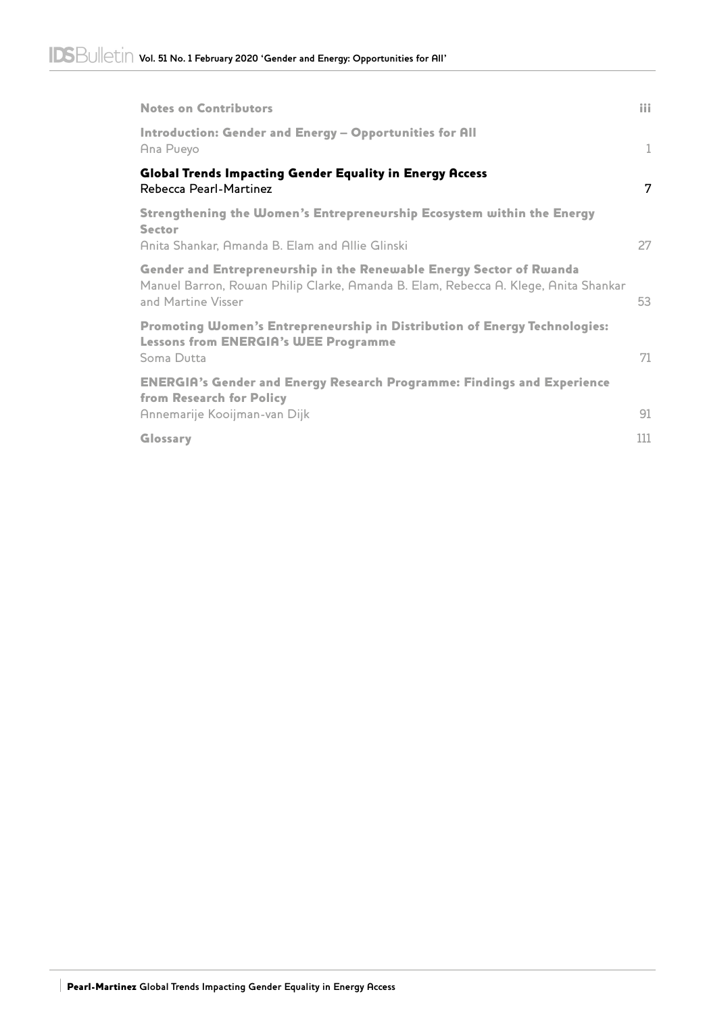| <b>Notes on Contributors</b>                                                                                                                                                      | iii |
|-----------------------------------------------------------------------------------------------------------------------------------------------------------------------------------|-----|
| Introduction: Gender and Energy - Opportunities for All<br>Ana Pueyo                                                                                                              | 1   |
| Global Trends Impacting Gender Equality in Energy Access<br>Rebecca Pearl-Martinez                                                                                                | 7   |
| Strengthening the Women's Entrepreneurship Ecosystem within the Energy<br><b>Sector</b><br>Anita Shankar, Amanda B. Elam and Allie Glinski                                        | 27  |
| Gender and Entrepreneurship in the Renewable Energy Sector of Rwanda<br>Manuel Barron, Rowan Philip Clarke, Amanda B. Elam, Rebecca A. Klege, Anita Shankar<br>and Martine Visser | 53  |
| Promoting Women's Entrepreneurship in Distribution of Energy Technologies:<br><b>Lessons from ENERGIA's WEE Programme</b><br>Soma Dutta                                           | 71  |
| <b>ENERGIA's Gender and Energy Research Programme: Findings and Experience</b><br>from Research for Policy<br>Annemarije Kooijman-van Dijk                                        | 91  |
| Glossary                                                                                                                                                                          | 111 |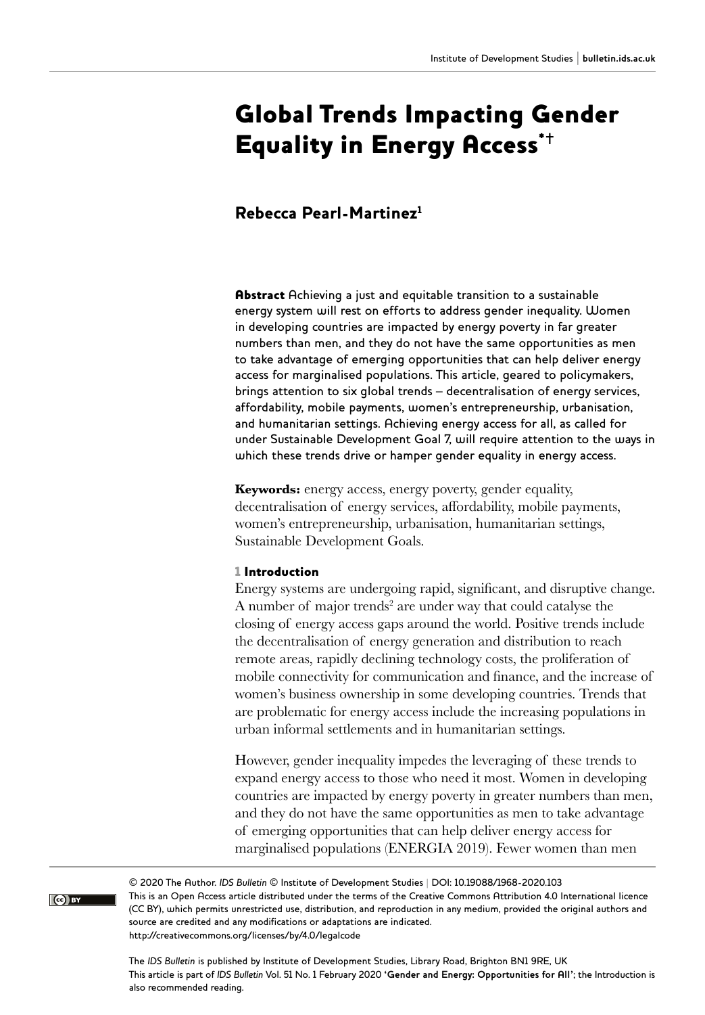# Global Trends Impacting Gender Equality in Energy Access<sup> $+$ </sup>

# Rebecca Pearl-Martinez1

Abstract Achieving a just and equitable transition to a sustainable energy system will rest on efforts to address gender inequality. Women in developing countries are impacted by energy poverty in far greater numbers than men, and they do not have the same opportunities as men to take advantage of emerging opportunities that can help deliver energy access for marginalised populations. This article, geared to policymakers, brings attention to six global trends – decentralisation of energy services, affordability, mobile payments, women's entrepreneurship, urbanisation, and humanitarian settings. Achieving energy access for all, as called for under Sustainable Development Goal 7, will require attention to the ways in which these trends drive or hamper gender equality in energy access.

**Keywords:** energy access, energy poverty, gender equality, decentralisation of energy services, affordability, mobile payments, women's entrepreneurship, urbanisation, humanitarian settings, Sustainable Development Goals.

#### 1 Introduction

Energy systems are undergoing rapid, significant, and disruptive change. A number of major trends<sup>2</sup> are under way that could catalyse the closing of energy access gaps around the world. Positive trends include the decentralisation of energy generation and distribution to reach remote areas, rapidly declining technology costs, the proliferation of mobile connectivity for communication and finance, and the increase of women's business ownership in some developing countries. Trends that are problematic for energy access include the increasing populations in urban informal settlements and in humanitarian settings.

However, gender inequality impedes the leveraging of these trends to expand energy access to those who need it most. Women in developing countries are impacted by energy poverty in greater numbers than men, and they do not have the same opportunities as men to take advantage of emerging opportunities that can help deliver energy access for marginalised populations (ENERGIA 2019). Fewer women than men

© 2020 The Author. *IDS Bulletin* © Institute of Development Studies | DOI: 10.19088/1968-2020.103 This is an Open Access article distributed under the terms of the Creative Commons Attribution 4.0 International licence (CC BY), which permits unrestricted use, distribution, and reproduction in any medium, provided the original authors and source are credited and any modifications or adaptations are indicated. <http://creativecommons.org/licenses/by/4.0/legalcode>

The *IDS Bulletin* is published by Institute of Development Studies, Library Road, Brighton BN1 9RE, UK This article is part of *IDS Bulletin* Vol. 51 No. 1 February 2020 **'Gender and Energy: Opportunities for All'**; the Introduction is also recommended reading.

 $\boxed{(\text{c})$  BY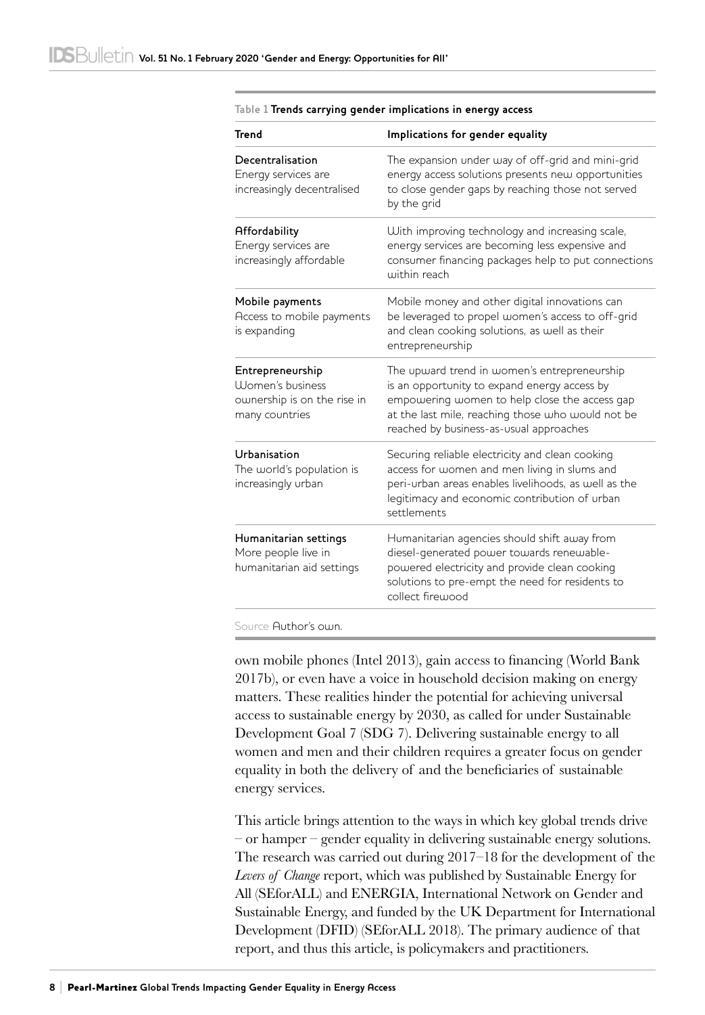| <b>Trend</b>                                                                                  | Implications for gender equality                                                                                                                                                                                                              |
|-----------------------------------------------------------------------------------------------|-----------------------------------------------------------------------------------------------------------------------------------------------------------------------------------------------------------------------------------------------|
| Decentralisation<br>Energy services are<br>increasingly decentralised                         | The expansion under way of off-grid and mini-grid<br>energy access solutions presents new opportunities<br>to close gender gaps by reaching those not served<br>by the grid                                                                   |
| Affordability<br>Energy services are<br>increasingly affordable                               | With improving technology and increasing scale,<br>energy services are becoming less expensive and<br>consumer financing packages help to put connections<br>within reach                                                                     |
| Mobile payments<br>Access to mobile payments<br>is expanding                                  | Mobile money and other digital innovations can<br>be leveraged to propel women's access to off-grid<br>and clean cooking solutions, as well as their<br>entrepreneurship                                                                      |
| Entrepreneurship<br><b>UJomen's business</b><br>ownership is on the rise in<br>many countries | The upward trend in women's entrepreneurship<br>is an opportunity to expand energy access by<br>empowering women to help close the access gap<br>at the last mile, reaching those who would not be<br>reached by business-as-usual approaches |
| Urbanisation<br>The world's population is<br>increasingly urban                               | Securing reliable electricity and clean cooking<br>access for women and men living in slums and<br>peri-urban areas enables livelihoods, as well as the<br>legitimacy and economic contribution of urban<br>settlements                       |
| Humanitarian settings<br>More people live in<br>humanitarian aid settings                     | Humanitarian agencies should shift away from<br>diesel-generated power towards renewable-<br>powered electricity and provide clean cooking<br>solutions to pre-empt the need for residents to<br>collect firewood                             |

#### **Table 1 Trends carrying gender implications in energy access**

Source Author's own.

own mobile phones (Intel 2013), gain access to financing (World Bank 2017b), or even have a voice in household decision making on energy matters. These realities hinder the potential for achieving universal access to sustainable energy by 2030, as called for under Sustainable Development Goal 7 (SDG 7). Delivering sustainable energy to all women and men and their children requires a greater focus on gender equality in both the delivery of and the beneficiaries of sustainable energy services.

This article brings attention to the ways in which key global trends drive – or hamper – gender equality in delivering sustainable energy solutions. The research was carried out during 2017–18 for the development of the *Levers of Change* report, which was published by Sustainable Energy for All (SEforALL) and ENERGIA, International Network on Gender and Sustainable Energy, and funded by the UK Department for International Development (DFID) (SEforALL 2018). The primary audience of that report, and thus this article, is policymakers and practitioners.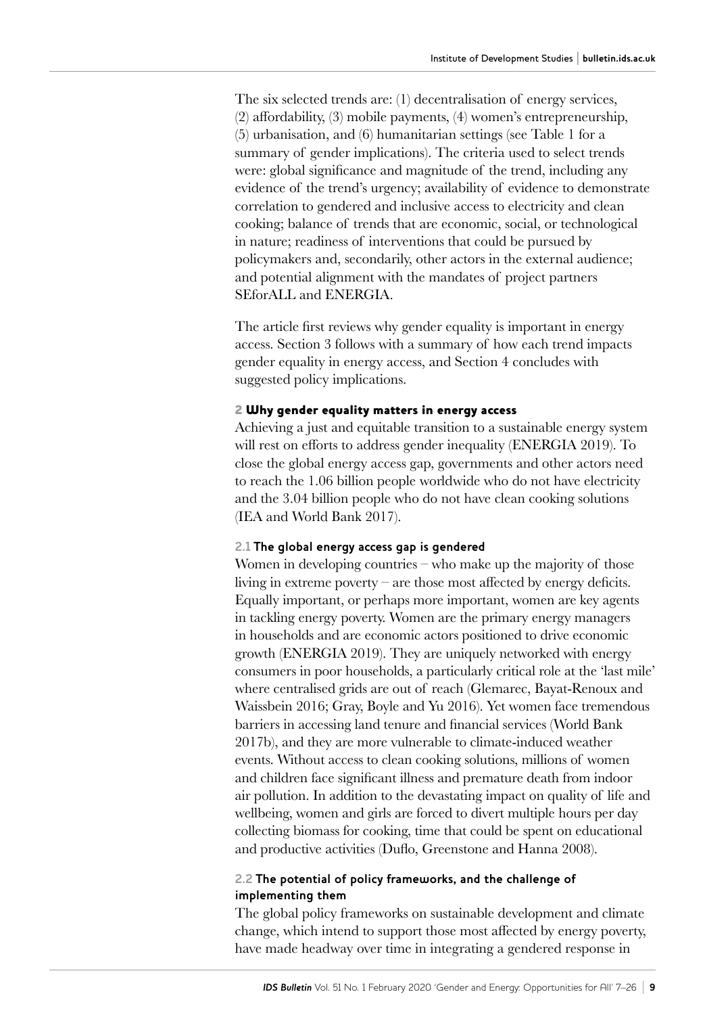The six selected trends are: (1) decentralisation of energy services, (2) affordability, (3) mobile payments, (4) women's entrepreneurship, (5) urbanisation, and (6) humanitarian settings (see Table 1 for a summary of gender implications). The criteria used to select trends were: global significance and magnitude of the trend, including any evidence of the trend's urgency; availability of evidence to demonstrate correlation to gendered and inclusive access to electricity and clean cooking; balance of trends that are economic, social, or technological in nature; readiness of interventions that could be pursued by policymakers and, secondarily, other actors in the external audience; and potential alignment with the mandates of project partners SEforALL and ENERGIA.

The article first reviews why gender equality is important in energy access. Section 3 follows with a summary of how each trend impacts gender equality in energy access, and Section 4 concludes with suggested policy implications.

#### 2 Why gender equality matters in energy access

Achieving a just and equitable transition to a sustainable energy system will rest on efforts to address gender inequality (ENERGIA 2019). To close the global energy access gap, governments and other actors need to reach the 1.06 billion people worldwide who do not have electricity and the 3.04 billion people who do not have clean cooking solutions (IEA and World Bank 2017).

#### **2.1 The global energy access gap is gendered**

Women in developing countries – who make up the majority of those living in extreme poverty – are those most affected by energy deficits. Equally important, or perhaps more important, women are key agents in tackling energy poverty. Women are the primary energy managers in households and are economic actors positioned to drive economic growth (ENERGIA 2019). They are uniquely networked with energy consumers in poor households, a particularly critical role at the 'last mile' where centralised grids are out of reach (Glemarec, Bayat-Renoux and Waissbein 2016; Gray, Boyle and Yu 2016). Yet women face tremendous barriers in accessing land tenure and financial services (World Bank 2017b), and they are more vulnerable to climate-induced weather events. Without access to clean cooking solutions, millions of women and children face significant illness and premature death from indoor air pollution. In addition to the devastating impact on quality of life and wellbeing, women and girls are forced to divert multiple hours per day collecting biomass for cooking, time that could be spent on educational and productive activities (Duflo, Greenstone and Hanna 2008).

#### **2.2 The potential of policy frameworks, and the challenge of implementing them**

The global policy frameworks on sustainable development and climate change, which intend to support those most affected by energy poverty, have made headway over time in integrating a gendered response in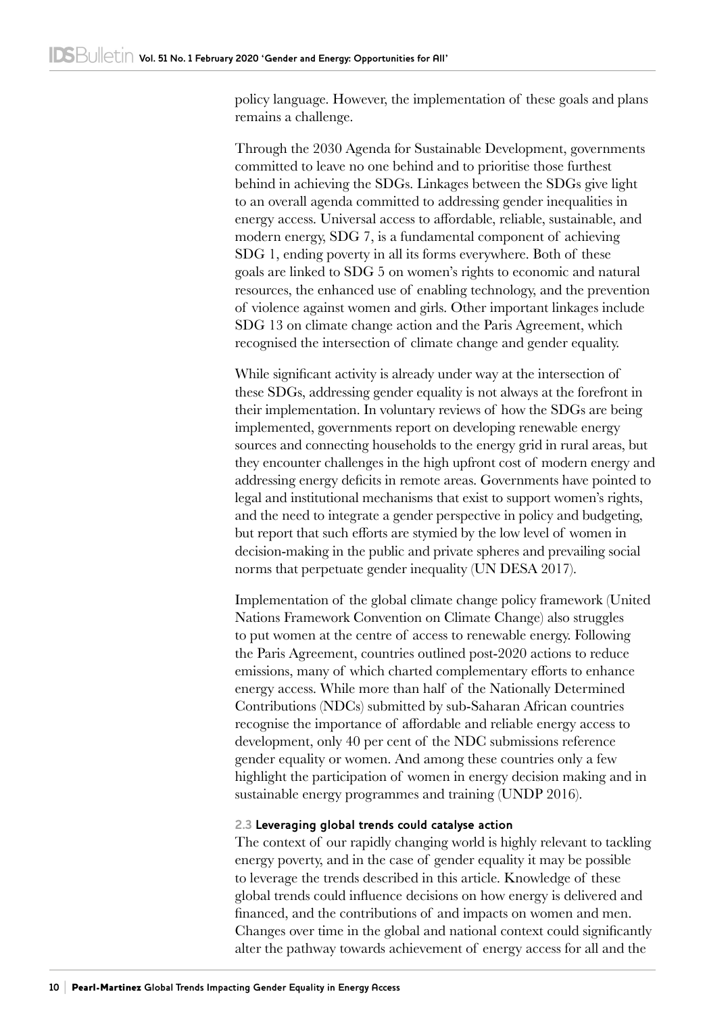policy language. However, the implementation of these goals and plans remains a challenge.

Through the 2030 Agenda for Sustainable Development, governments committed to leave no one behind and to prioritise those furthest behind in achieving the SDGs. Linkages between the SDGs give light to an overall agenda committed to addressing gender inequalities in energy access. Universal access to affordable, reliable, sustainable, and modern energy, SDG 7, is a fundamental component of achieving SDG 1, ending poverty in all its forms everywhere. Both of these goals are linked to SDG 5 on women's rights to economic and natural resources, the enhanced use of enabling technology, and the prevention of violence against women and girls. Other important linkages include SDG 13 on climate change action and the Paris Agreement, which recognised the intersection of climate change and gender equality.

While significant activity is already under way at the intersection of these SDGs, addressing gender equality is not always at the forefront in their implementation. In voluntary reviews of how the SDGs are being implemented, governments report on developing renewable energy sources and connecting households to the energy grid in rural areas, but they encounter challenges in the high upfront cost of modern energy and addressing energy deficits in remote areas. Governments have pointed to legal and institutional mechanisms that exist to support women's rights, and the need to integrate a gender perspective in policy and budgeting, but report that such efforts are stymied by the low level of women in decision-making in the public and private spheres and prevailing social norms that perpetuate gender inequality (UN DESA 2017).

Implementation of the global climate change policy framework (United Nations Framework Convention on Climate Change) also struggles to put women at the centre of access to renewable energy. Following the Paris Agreement, countries outlined post-2020 actions to reduce emissions, many of which charted complementary efforts to enhance energy access. While more than half of the Nationally Determined Contributions (NDCs) submitted by sub-Saharan African countries recognise the importance of affordable and reliable energy access to development, only 40 per cent of the NDC submissions reference gender equality or women. And among these countries only a few highlight the participation of women in energy decision making and in sustainable energy programmes and training (UNDP 2016).

## **2.3 Leveraging global trends could catalyse action**

The context of our rapidly changing world is highly relevant to tackling energy poverty, and in the case of gender equality it may be possible to leverage the trends described in this article. Knowledge of these global trends could influence decisions on how energy is delivered and financed, and the contributions of and impacts on women and men. Changes over time in the global and national context could significantly alter the pathway towards achievement of energy access for all and the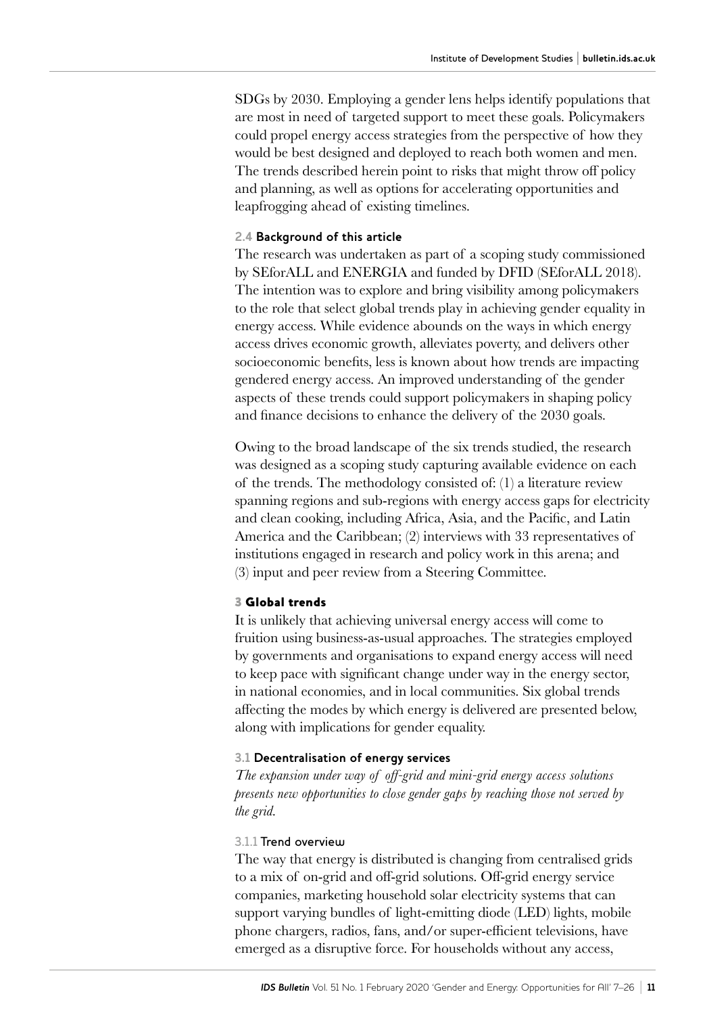SDGs by 2030. Employing a gender lens helps identify populations that are most in need of targeted support to meet these goals. Policymakers could propel energy access strategies from the perspective of how they would be best designed and deployed to reach both women and men. The trends described herein point to risks that might throw off policy and planning, as well as options for accelerating opportunities and leapfrogging ahead of existing timelines.

#### **2.4 Background of this article**

The research was undertaken as part of a scoping study commissioned by SEforALL and ENERGIA and funded by DFID (SEforALL 2018). The intention was to explore and bring visibility among policymakers to the role that select global trends play in achieving gender equality in energy access. While evidence abounds on the ways in which energy access drives economic growth, alleviates poverty, and delivers other socioeconomic benefits, less is known about how trends are impacting gendered energy access. An improved understanding of the gender aspects of these trends could support policymakers in shaping policy and finance decisions to enhance the delivery of the 2030 goals.

Owing to the broad landscape of the six trends studied, the research was designed as a scoping study capturing available evidence on each of the trends. The methodology consisted of: (1) a literature review spanning regions and sub-regions with energy access gaps for electricity and clean cooking, including Africa, Asia, and the Pacific, and Latin America and the Caribbean; (2) interviews with 33 representatives of institutions engaged in research and policy work in this arena; and (3) input and peer review from a Steering Committee.

#### 3 Global trends

It is unlikely that achieving universal energy access will come to fruition using business-as-usual approaches. The strategies employed by governments and organisations to expand energy access will need to keep pace with significant change under way in the energy sector, in national economies, and in local communities. Six global trends affecting the modes by which energy is delivered are presented below, along with implications for gender equality.

#### **3.1 Decentralisation of energy services**

*The expansion under way of off-grid and mini-grid energy access solutions presents new opportunities to close gender gaps by reaching those not served by the grid.*

#### 3.1.1 Trend overview

The way that energy is distributed is changing from centralised grids to a mix of on-grid and off-grid solutions. Off-grid energy service companies, marketing household solar electricity systems that can support varying bundles of light-emitting diode (LED) lights, mobile phone chargers, radios, fans, and/or super-efficient televisions, have emerged as a disruptive force. For households without any access,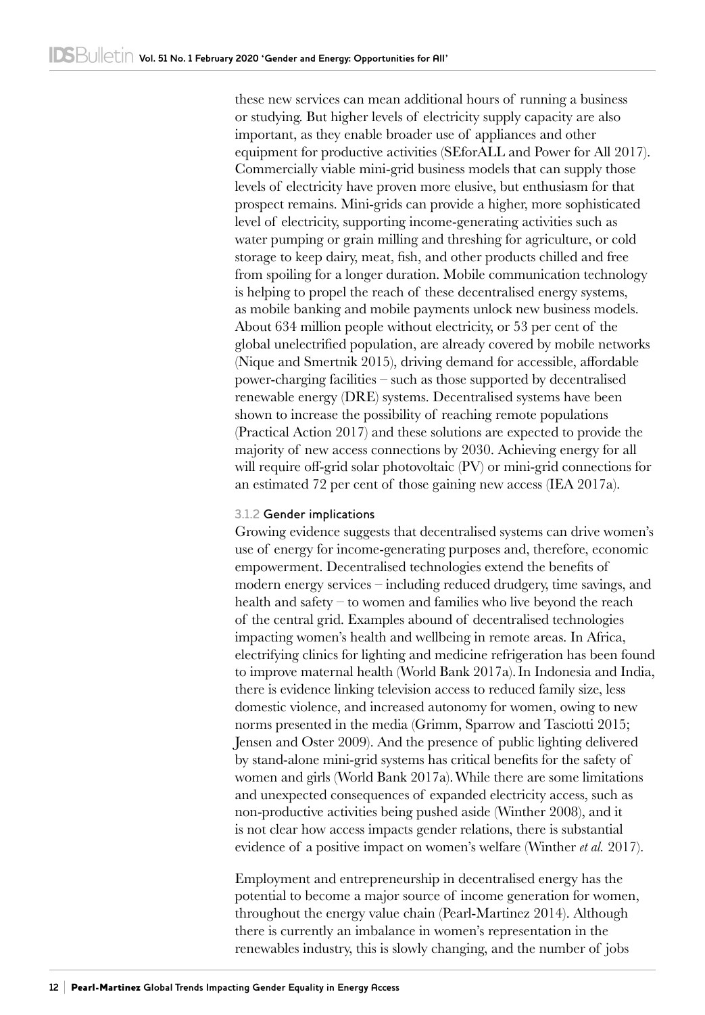these new services can mean additional hours of running a business or studying. But higher levels of electricity supply capacity are also important, as they enable broader use of appliances and other equipment for productive activities (SEforALL and Power for All 2017). Commercially viable mini-grid business models that can supply those levels of electricity have proven more elusive, but enthusiasm for that prospect remains. Mini-grids can provide a higher, more sophisticated level of electricity, supporting income-generating activities such as water pumping or grain milling and threshing for agriculture, or cold storage to keep dairy, meat, fish, and other products chilled and free from spoiling for a longer duration. Mobile communication technology is helping to propel the reach of these decentralised energy systems, as mobile banking and mobile payments unlock new business models. About 634 million people without electricity, or 53 per cent of the global unelectrified population, are already covered by mobile networks (Nique and Smertnik 2015), driving demand for accessible, affordable power-charging facilities – such as those supported by decentralised renewable energy (DRE) systems. Decentralised systems have been shown to increase the possibility of reaching remote populations (Practical Action 2017) and these solutions are expected to provide the majority of new access connections by 2030. Achieving energy for all will require off-grid solar photovoltaic (PV) or mini-grid connections for an estimated 72 per cent of those gaining new access (IEA 2017a).

# 3.1.2 Gender implications

Growing evidence suggests that decentralised systems can drive women's use of energy for income-generating purposes and, therefore, economic empowerment. Decentralised technologies extend the benefits of modern energy services – including reduced drudgery, time savings, and health and safety – to women and families who live beyond the reach of the central grid. Examples abound of decentralised technologies impacting women's health and wellbeing in remote areas. In Africa, electrifying clinics for lighting and medicine refrigeration has been found to improve maternal health (World Bank 2017a).In Indonesia and India, there is evidence linking television access to reduced family size, less domestic violence, and increased autonomy for women, owing to new norms presented in the media (Grimm, Sparrow and Tasciotti 2015; Jensen and Oster 2009). And the presence of public lighting delivered by stand-alone mini-grid systems has critical benefits for the safety of women and girls (World Bank 2017a).While there are some limitations and unexpected consequences of expanded electricity access, such as non-productive activities being pushed aside (Winther 2008), and it is not clear how access impacts gender relations, there is substantial evidence of a positive impact on women's welfare (Winther *et al.* 2017).

Employment and entrepreneurship in decentralised energy has the potential to become a major source of income generation for women, throughout the energy value chain (Pearl-Martinez 2014). Although there is currently an imbalance in women's representation in the renewables industry, this is slowly changing, and the number of jobs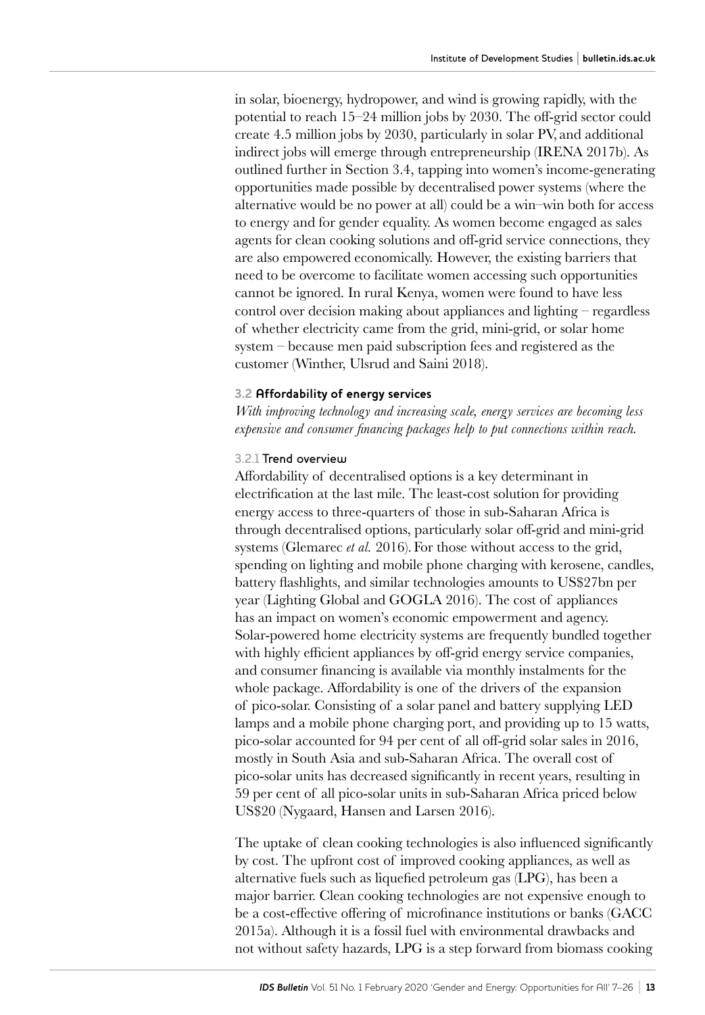in solar, bioenergy, hydropower, and wind is growing rapidly, with the potential to reach 15–24 million jobs by 2030. The off-grid sector could create 4.5 million jobs by 2030, particularly in solar PV, and additional indirect jobs will emerge through entrepreneurship (IRENA 2017b). As outlined further in Section 3.4, tapping into women's income-generating opportunities made possible by decentralised power systems (where the alternative would be no power at all) could be a win–win both for access to energy and for gender equality. As women become engaged as sales agents for clean cooking solutions and off-grid service connections, they are also empowered economically. However, the existing barriers that need to be overcome to facilitate women accessing such opportunities cannot be ignored. In rural Kenya, women were found to have less control over decision making about appliances and lighting – regardless of whether electricity came from the grid, mini-grid, or solar home system – because men paid subscription fees and registered as the customer (Winther, Ulsrud and Saini 2018).

#### **3.2 Affordability of energy services**

*With improving technology and increasing scale, energy services are becoming less expensive and consumer financing packages help to put connections within reach.*

#### 3.2.1 Trend overview

Affordability of decentralised options is a key determinant in electrification at the last mile. The least-cost solution for providing energy access to three-quarters of those in sub-Saharan Africa is through decentralised options, particularly solar off-grid and mini-grid systems (Glemarec *et al.* 2016). For those without access to the grid, spending on lighting and mobile phone charging with kerosene, candles, battery flashlights, and similar technologies amounts to US\$27bn per year (Lighting Global and GOGLA 2016). The cost of appliances has an impact on women's economic empowerment and agency. Solar-powered home electricity systems are frequently bundled together with highly efficient appliances by off-grid energy service companies, and consumer financing is available via monthly instalments for the whole package. Affordability is one of the drivers of the expansion of pico-solar. Consisting of a solar panel and battery supplying LED lamps and a mobile phone charging port, and providing up to 15 watts, pico‑solar accounted for 94 per cent of all off-grid solar sales in 2016, mostly in South Asia and sub-Saharan Africa. The overall cost of pico‑solar units has decreased significantly in recent years, resulting in 59 per cent of all pico-solar units in sub-Saharan Africa priced below US\$20 (Nygaard, Hansen and Larsen 2016).

The uptake of clean cooking technologies is also influenced significantly by cost. The upfront cost of improved cooking appliances, as well as alternative fuels such as liquefied petroleum gas (LPG), has been a major barrier. Clean cooking technologies are not expensive enough to be a cost-effective offering of microfinance institutions or banks (GACC 2015a). Although it is a fossil fuel with environmental drawbacks and not without safety hazards, LPG is a step forward from biomass cooking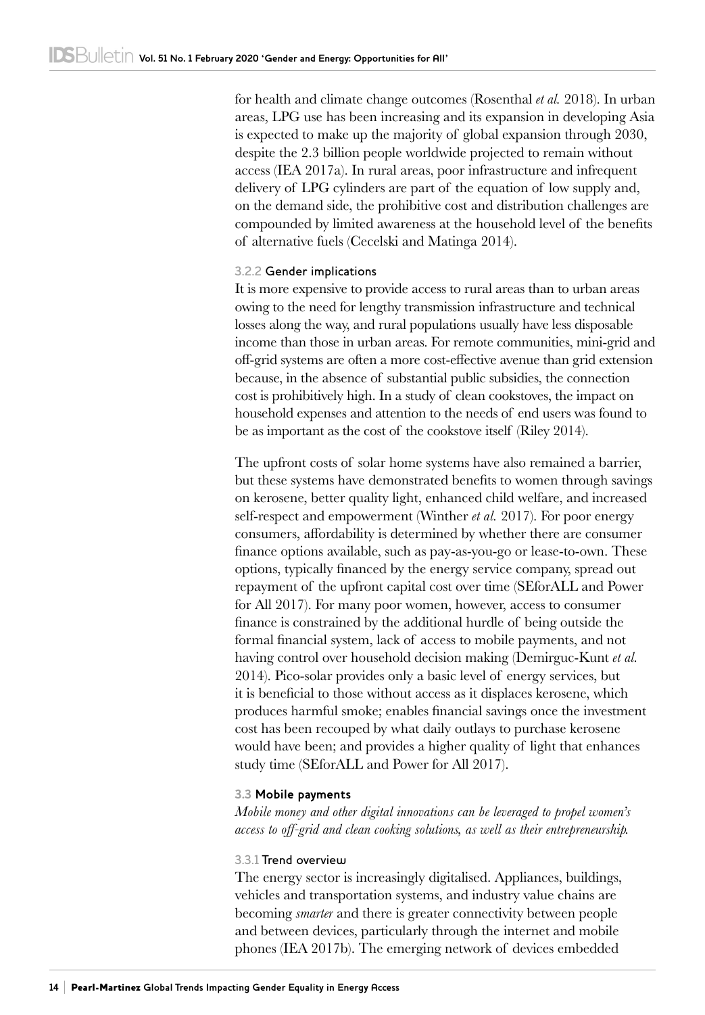for health and climate change outcomes (Rosenthal *et al.* 2018). In urban areas, LPG use has been increasing and its expansion in developing Asia is expected to make up the majority of global expansion through 2030, despite the 2.3 billion people worldwide projected to remain without access (IEA 2017a). In rural areas, poor infrastructure and infrequent delivery of LPG cylinders are part of the equation of low supply and, on the demand side, the prohibitive cost and distribution challenges are compounded by limited awareness at the household level of the benefits of alternative fuels (Cecelski and Matinga 2014).

#### 3.2.2 Gender implications

It is more expensive to provide access to rural areas than to urban areas owing to the need for lengthy transmission infrastructure and technical losses along the way, and rural populations usually have less disposable income than those in urban areas. For remote communities, mini-grid and off-grid systems are often a more cost-effective avenue than grid extension because, in the absence of substantial public subsidies, the connection cost is prohibitively high. In a study of clean cookstoves, the impact on household expenses and attention to the needs of end users was found to be as important as the cost of the cookstove itself (Riley 2014).

The upfront costs of solar home systems have also remained a barrier, but these systems have demonstrated benefits to women through savings on kerosene, better quality light, enhanced child welfare, and increased self-respect and empowerment (Winther *et al.* 2017). For poor energy consumers, affordability is determined by whether there are consumer finance options available, such as pay-as-you-go or lease-to-own. These options, typically financed by the energy service company, spread out repayment of the upfront capital cost over time (SEforALL and Power for All 2017). For many poor women, however, access to consumer finance is constrained by the additional hurdle of being outside the formal financial system, lack of access to mobile payments, and not having control over household decision making (Demirguc-Kunt *et al.* 2014). Pico-solar provides only a basic level of energy services, but it is beneficial to those without access as it displaces kerosene, which produces harmful smoke; enables financial savings once the investment cost has been recouped by what daily outlays to purchase kerosene would have been; and provides a higher quality of light that enhances study time (SEforALL and Power for All 2017).

## **3.3 Mobile payments**

*Mobile money and other digital innovations can be leveraged to propel women's access to off-grid and clean cooking solutions, as well as their entrepreneurship.*

#### 3.3.1 Trend overview

The energy sector is increasingly digitalised. Appliances, buildings, vehicles and transportation systems, and industry value chains are becoming *smarter* and there is greater connectivity between people and between devices, particularly through the internet and mobile phones (IEA 2017b). The emerging network of devices embedded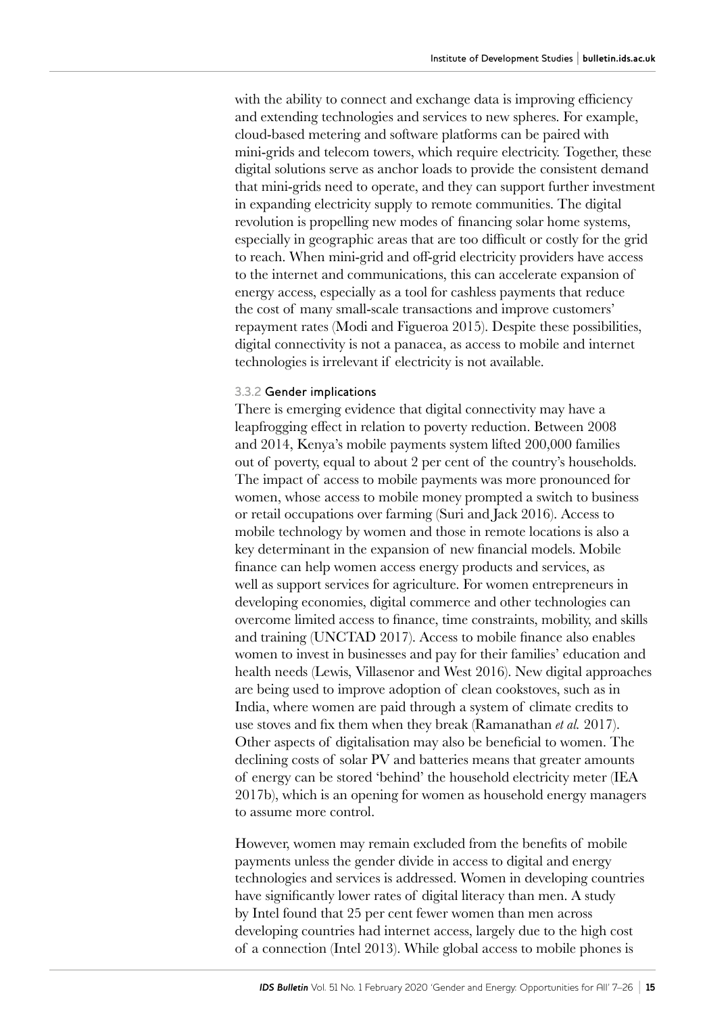with the ability to connect and exchange data is improving efficiency and extending technologies and services to new spheres. For example, cloud‑based metering and software platforms can be paired with mini-grids and telecom towers, which require electricity. Together, these digital solutions serve as anchor loads to provide the consistent demand that mini-grids need to operate, and they can support further investment in expanding electricity supply to remote communities. The digital revolution is propelling new modes of financing solar home systems, especially in geographic areas that are too difficult or costly for the grid to reach. When mini-grid and off-grid electricity providers have access to the internet and communications, this can accelerate expansion of energy access, especially as a tool for cashless payments that reduce the cost of many small-scale transactions and improve customers' repayment rates (Modi and Figueroa 2015). Despite these possibilities, digital connectivity is not a panacea, as access to mobile and internet technologies is irrelevant if electricity is not available.

#### 3.3.2 Gender implications

There is emerging evidence that digital connectivity may have a leapfrogging effect in relation to poverty reduction. Between 2008 and 2014, Kenya's mobile payments system lifted 200,000 families out of poverty, equal to about 2 per cent of the country's households. The impact of access to mobile payments was more pronounced for women, whose access to mobile money prompted a switch to business or retail occupations over farming (Suri and Jack 2016). Access to mobile technology by women and those in remote locations is also a key determinant in the expansion of new financial models. Mobile finance can help women access energy products and services, as well as support services for agriculture. For women entrepreneurs in developing economies, digital commerce and other technologies can overcome limited access to finance, time constraints, mobility, and skills and training (UNCTAD 2017). Access to mobile finance also enables women to invest in businesses and pay for their families' education and health needs (Lewis, Villasenor and West 2016). New digital approaches are being used to improve adoption of clean cookstoves, such as in India, where women are paid through a system of climate credits to use stoves and fix them when they break (Ramanathan *et al.* 2017). Other aspects of digitalisation may also be beneficial to women. The declining costs of solar PV and batteries means that greater amounts of energy can be stored 'behind' the household electricity meter (IEA 2017b), which is an opening for women as household energy managers to assume more control.

However, women may remain excluded from the benefits of mobile payments unless the gender divide in access to digital and energy technologies and services is addressed. Women in developing countries have significantly lower rates of digital literacy than men. A study by Intel found that 25 per cent fewer women than men across developing countries had internet access, largely due to the high cost of a connection (Intel 2013). While global access to mobile phones is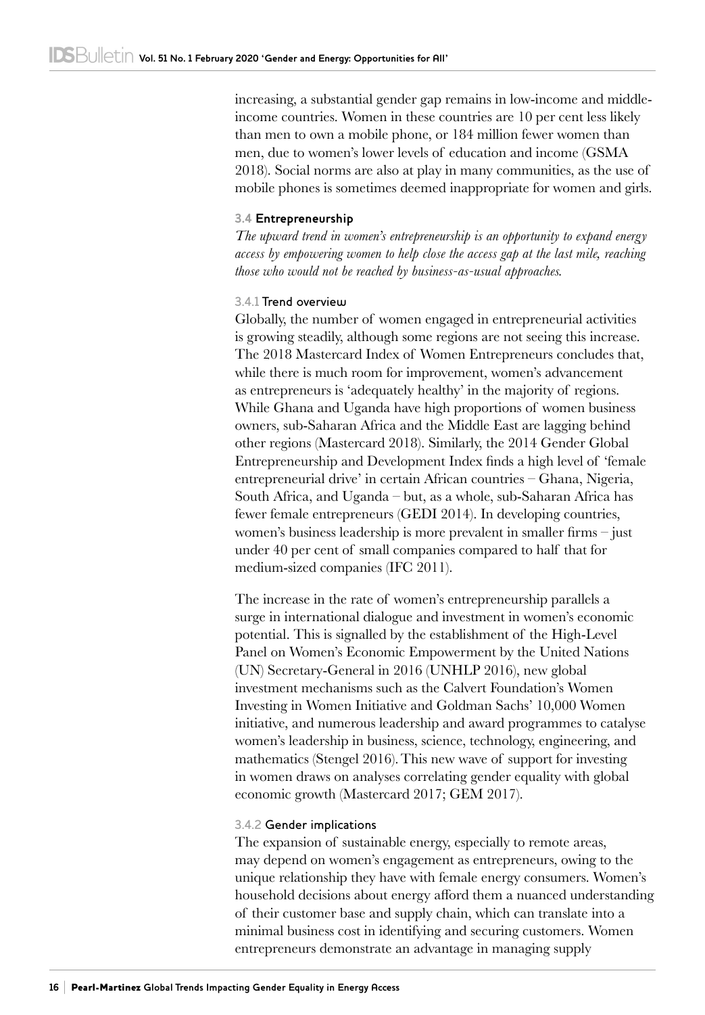increasing, a substantial gender gap remains in low-income and middleincome countries. Women in these countries are 10 per cent less likely than men to own a mobile phone, or 184 million fewer women than men, due to women's lower levels of education and income (GSMA 2018). Social norms are also at play in many communities, as the use of mobile phones is sometimes deemed inappropriate for women and girls.

#### **3.4 Entrepreneurship**

*The upward trend in women's entrepreneurship is an opportunity to expand energy access by empowering women to help close the access gap at the last mile, reaching those who would not be reached by business-as-usual approaches.*

#### 3.4.1 Trend overview

Globally, the number of women engaged in entrepreneurial activities is growing steadily, although some regions are not seeing this increase. The 2018 Mastercard Index of Women Entrepreneurs concludes that, while there is much room for improvement, women's advancement as entrepreneurs is 'adequately healthy' in the majority of regions. While Ghana and Uganda have high proportions of women business owners, sub-Saharan Africa and the Middle East are lagging behind other regions (Mastercard 2018). Similarly, the 2014 Gender Global Entrepreneurship and Development Index finds a high level of 'female entrepreneurial drive' in certain African countries – Ghana, Nigeria, South Africa, and Uganda – but, as a whole, sub-Saharan Africa has fewer female entrepreneurs (GEDI 2014). In developing countries, women's business leadership is more prevalent in smaller firms – just under 40 per cent of small companies compared to half that for medium-sized companies (IFC 2011).

The increase in the rate of women's entrepreneurship parallels a surge in international dialogue and investment in women's economic potential. This is signalled by the establishment of the High-Level Panel on Women's Economic Empowerment by the United Nations (UN) Secretary-General in 2016 (UNHLP 2016), new global investment mechanisms such as the Calvert Foundation's Women Investing in Women Initiative and Goldman Sachs' 10,000 Women initiative, and numerous leadership and award programmes to catalyse women's leadership in business, science, technology, engineering, and mathematics (Stengel 2016).This new wave of support for investing in women draws on analyses correlating gender equality with global economic growth (Mastercard 2017; GEM 2017).

#### 3.4.2 Gender implications

The expansion of sustainable energy, especially to remote areas, may depend on women's engagement as entrepreneurs, owing to the unique relationship they have with female energy consumers. Women's household decisions about energy afford them a nuanced understanding of their customer base and supply chain, which can translate into a minimal business cost in identifying and securing customers. Women entrepreneurs demonstrate an advantage in managing supply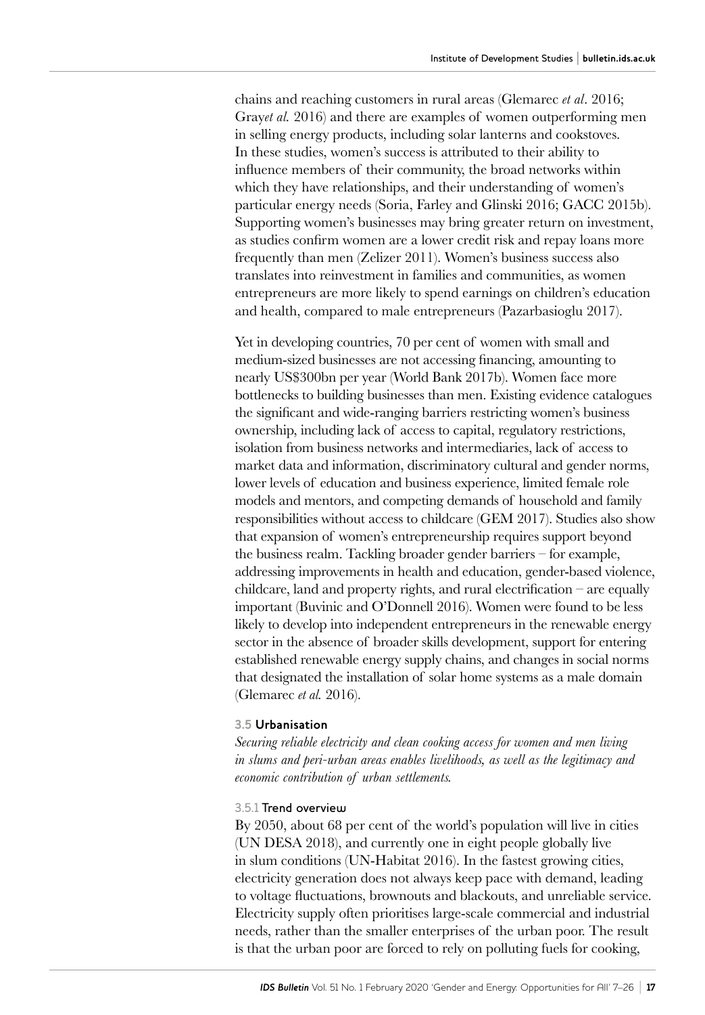chains and reaching customers in rural areas (Glemarec *et al*. 2016; Gray*et al.* 2016) and there are examples of women outperforming men in selling energy products, including solar lanterns and cookstoves. In these studies, women's success is attributed to their ability to influence members of their community, the broad networks within which they have relationships, and their understanding of women's particular energy needs (Soria, Farley and Glinski 2016; GACC 2015b). Supporting women's businesses may bring greater return on investment, as studies confirm women are a lower credit risk and repay loans more frequently than men (Zelizer 2011). Women's business success also translates into reinvestment in families and communities, as women entrepreneurs are more likely to spend earnings on children's education and health, compared to male entrepreneurs (Pazarbasioglu 2017).

Yet in developing countries, 70 per cent of women with small and medium-sized businesses are not accessing financing, amounting to nearly US\$300bn per year (World Bank 2017b). Women face more bottlenecks to building businesses than men. Existing evidence catalogues the significant and wide-ranging barriers restricting women's business ownership, including lack of access to capital, regulatory restrictions, isolation from business networks and intermediaries, lack of access to market data and information, discriminatory cultural and gender norms, lower levels of education and business experience, limited female role models and mentors, and competing demands of household and family responsibilities without access to childcare (GEM 2017). Studies also show that expansion of women's entrepreneurship requires support beyond the business realm. Tackling broader gender barriers – for example, addressing improvements in health and education, gender-based violence, childcare, land and property rights, and rural electrification – are equally important (Buvinic and O'Donnell 2016). Women were found to be less likely to develop into independent entrepreneurs in the renewable energy sector in the absence of broader skills development, support for entering established renewable energy supply chains, and changes in social norms that designated the installation of solar home systems as a male domain (Glemarec *et al.* 2016).

#### **3.5 Urbanisation**

*Securing reliable electricity and clean cooking access for women and men living in slums and peri-urban areas enables livelihoods, as well as the legitimacy and economic contribution of urban settlements.*

#### 3.5.1 Trend overview

By 2050, about 68 per cent of the world's population will live in cities (UN DESA 2018), and currently one in eight people globally live in slum conditions (UN-Habitat 2016). In the fastest growing cities, electricity generation does not always keep pace with demand, leading to voltage fluctuations, brownouts and blackouts, and unreliable service. Electricity supply often prioritises large-scale commercial and industrial needs, rather than the smaller enterprises of the urban poor. The result is that the urban poor are forced to rely on polluting fuels for cooking,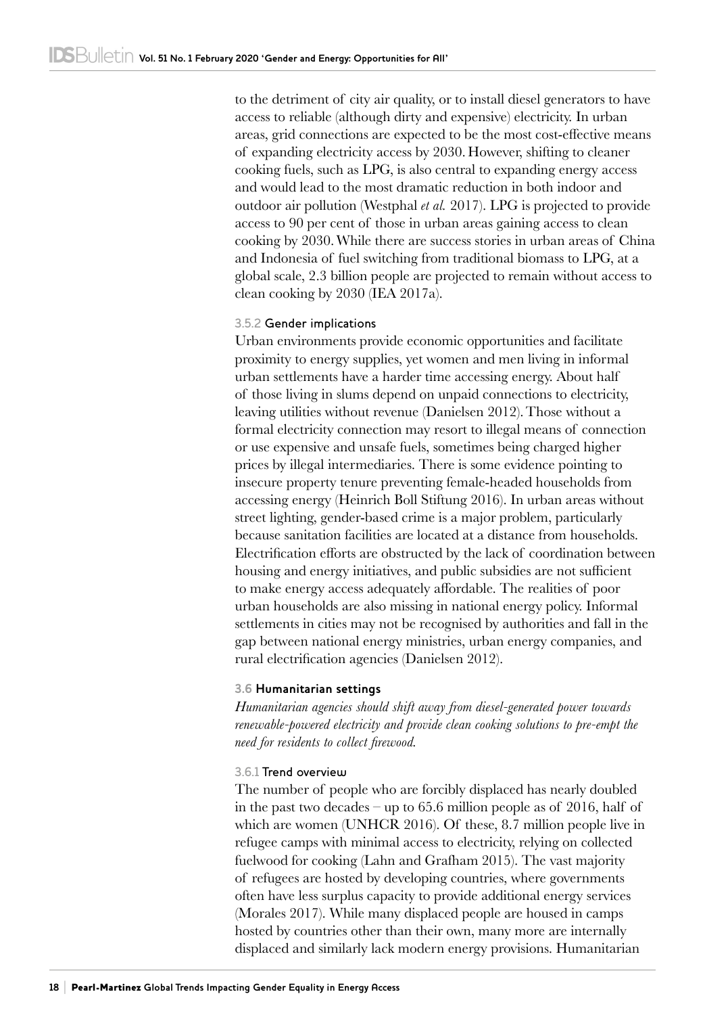to the detriment of city air quality, or to install diesel generators to have access to reliable (although dirty and expensive) electricity. In urban areas, grid connections are expected to be the most cost-effective means of expanding electricity access by 2030. However, shifting to cleaner cooking fuels, such as LPG, is also central to expanding energy access and would lead to the most dramatic reduction in both indoor and outdoor air pollution (Westphal *et al.* 2017). LPG is projected to provide access to 90 per cent of those in urban areas gaining access to clean cooking by 2030.While there are success stories in urban areas of China and Indonesia of fuel switching from traditional biomass to LPG, at a global scale, 2.3 billion people are projected to remain without access to clean cooking by 2030 (IEA 2017a).

#### 3.5.2 Gender implications

Urban environments provide economic opportunities and facilitate proximity to energy supplies, yet women and men living in informal urban settlements have a harder time accessing energy. About half of those living in slums depend on unpaid connections to electricity, leaving utilities without revenue (Danielsen 2012).Those without a formal electricity connection may resort to illegal means of connection or use expensive and unsafe fuels, sometimes being charged higher prices by illegal intermediaries. There is some evidence pointing to insecure property tenure preventing female-headed households from accessing energy (Heinrich Boll Stiftung 2016). In urban areas without street lighting, gender-based crime is a major problem, particularly because sanitation facilities are located at a distance from households. Electrification efforts are obstructed by the lack of coordination between housing and energy initiatives, and public subsidies are not sufficient to make energy access adequately affordable. The realities of poor urban households are also missing in national energy policy. Informal settlements in cities may not be recognised by authorities and fall in the gap between national energy ministries, urban energy companies, and rural electrification agencies (Danielsen 2012).

#### **3.6 Humanitarian settings**

*Humanitarian agencies should shift away from diesel-generated power towards renewable-powered electricity and provide clean cooking solutions to pre-empt the need for residents to collect firewood.*

## 3.6.1 Trend overview

The number of people who are forcibly displaced has nearly doubled in the past two decades – up to 65.6 million people as of 2016, half of which are women (UNHCR 2016). Of these, 8.7 million people live in refugee camps with minimal access to electricity, relying on collected fuelwood for cooking (Lahn and Grafham 2015). The vast majority of refugees are hosted by developing countries, where governments often have less surplus capacity to provide additional energy services (Morales 2017). While many displaced people are housed in camps hosted by countries other than their own, many more are internally displaced and similarly lack modern energy provisions. Humanitarian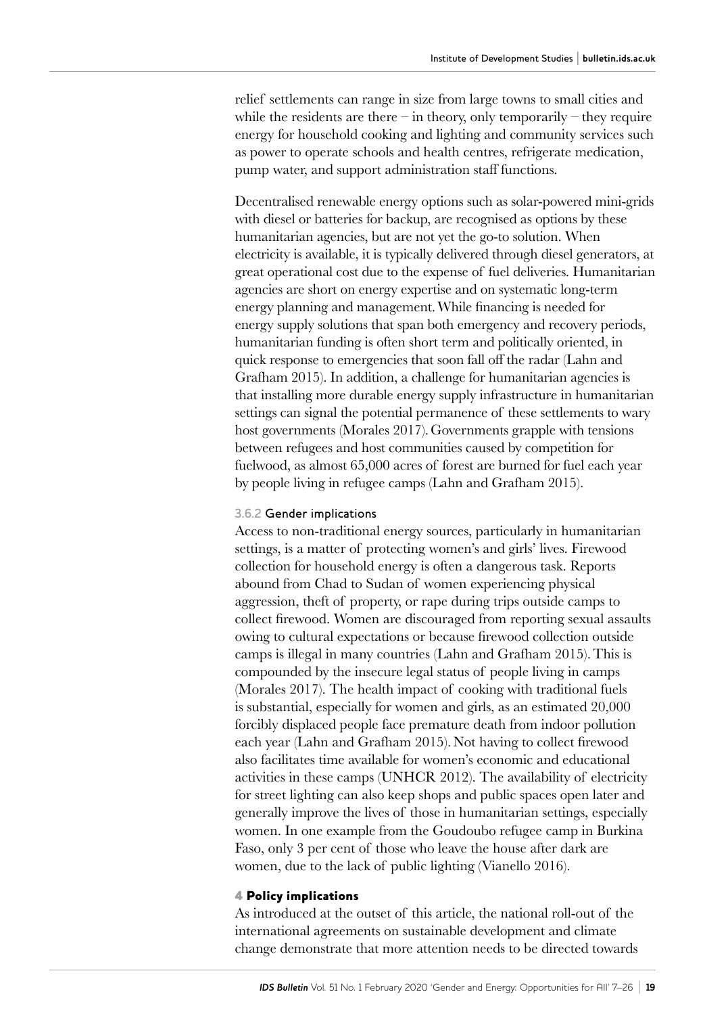relief settlements can range in size from large towns to small cities and while the residents are there – in theory, only temporarily – they require energy for household cooking and lighting and community services such as power to operate schools and health centres, refrigerate medication, pump water, and support administration staff functions.

Decentralised renewable energy options such as solar-powered mini-grids with diesel or batteries for backup, are recognised as options by these humanitarian agencies, but are not yet the go-to solution. When electricity is available, it is typically delivered through diesel generators, at great operational cost due to the expense of fuel deliveries. Humanitarian agencies are short on energy expertise and on systematic long-term energy planning and management.While financing is needed for energy supply solutions that span both emergency and recovery periods, humanitarian funding is often short term and politically oriented, in quick response to emergencies that soon fall off the radar (Lahn and Grafham 2015). In addition, a challenge for humanitarian agencies is that installing more durable energy supply infrastructure in humanitarian settings can signal the potential permanence of these settlements to wary host governments (Morales 2017).Governments grapple with tensions between refugees and host communities caused by competition for fuelwood, as almost 65,000 acres of forest are burned for fuel each year by people living in refugee camps (Lahn and Grafham 2015).

#### 3.6.2 Gender implications

Access to non-traditional energy sources, particularly in humanitarian settings, is a matter of protecting women's and girls' lives. Firewood collection for household energy is often a dangerous task. Reports abound from Chad to Sudan of women experiencing physical aggression, theft of property, or rape during trips outside camps to collect firewood. Women are discouraged from reporting sexual assaults owing to cultural expectations or because firewood collection outside camps is illegal in many countries (Lahn and Grafham 2015).This is compounded by the insecure legal status of people living in camps (Morales 2017). The health impact of cooking with traditional fuels is substantial, especially for women and girls, as an estimated 20,000 forcibly displaced people face premature death from indoor pollution each year (Lahn and Grafham 2015). Not having to collect firewood also facilitates time available for women's economic and educational activities in these camps (UNHCR 2012). The availability of electricity for street lighting can also keep shops and public spaces open later and generally improve the lives of those in humanitarian settings, especially women. In one example from the Goudoubo refugee camp in Burkina Faso, only 3 per cent of those who leave the house after dark are women, due to the lack of public lighting (Vianello 2016).

#### 4 Policy implications

As introduced at the outset of this article, the national roll-out of the international agreements on sustainable development and climate change demonstrate that more attention needs to be directed towards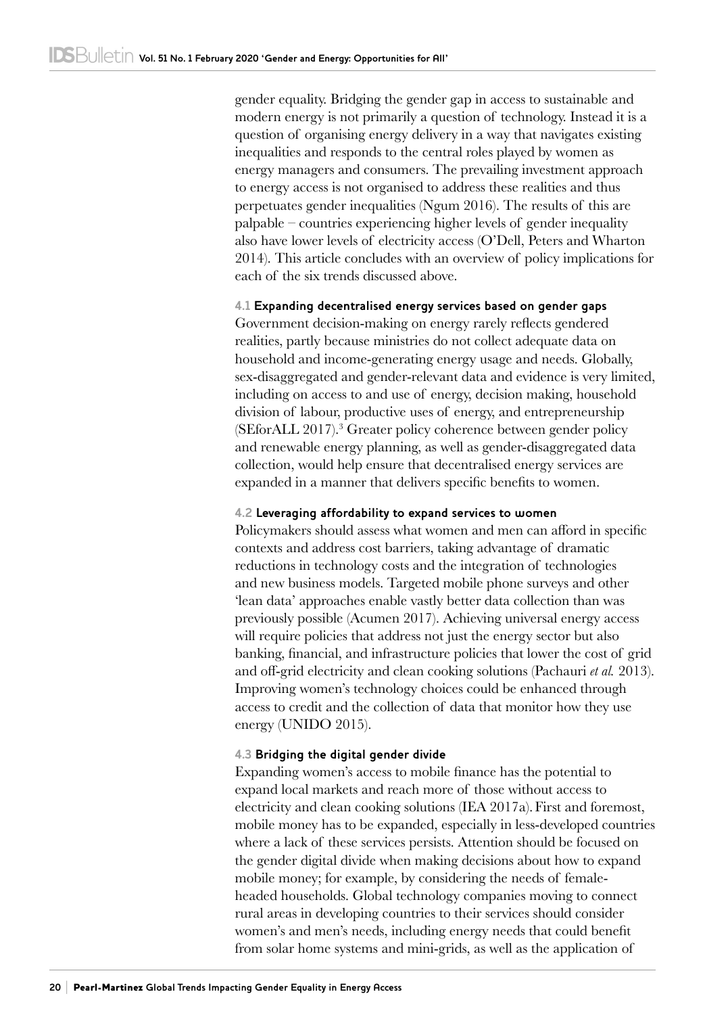gender equality. Bridging the gender gap in access to sustainable and modern energy is not primarily a question of technology. Instead it is a question of organising energy delivery in a way that navigates existing inequalities and responds to the central roles played by women as energy managers and consumers. The prevailing investment approach to energy access is not organised to address these realities and thus perpetuates gender inequalities (Ngum 2016). The results of this are palpable – countries experiencing higher levels of gender inequality also have lower levels of electricity access (O'Dell, Peters and Wharton 2014). This article concludes with an overview of policy implications for each of the six trends discussed above.

#### **4.1 Expanding decentralised energy services based on gender gaps**

Government decision-making on energy rarely reflects gendered realities, partly because ministries do not collect adequate data on household and income-generating energy usage and needs. Globally, sex-disaggregated and gender-relevant data and evidence is very limited, including on access to and use of energy, decision making, household division of labour, productive uses of energy, and entrepreneurship (SEforALL 2017).3 Greater policy coherence between gender policy and renewable energy planning, as well as gender-disaggregated data collection, would help ensure that decentralised energy services are expanded in a manner that delivers specific benefits to women.

#### **4.2 Leveraging affordability to expand services to women**

Policymakers should assess what women and men can afford in specific contexts and address cost barriers, taking advantage of dramatic reductions in technology costs and the integration of technologies and new business models. Targeted mobile phone surveys and other 'lean data' approaches enable vastly better data collection than was previously possible (Acumen 2017). Achieving universal energy access will require policies that address not just the energy sector but also banking, financial, and infrastructure policies that lower the cost of grid and off-grid electricity and clean cooking solutions (Pachauri *et al.* 2013). Improving women's technology choices could be enhanced through access to credit and the collection of data that monitor how they use energy (UNIDO 2015).

#### **4.3 Bridging the digital gender divide**

Expanding women's access to mobile finance has the potential to expand local markets and reach more of those without access to electricity and clean cooking solutions (IEA 2017a). First and foremost, mobile money has to be expanded, especially in less-developed countries where a lack of these services persists. Attention should be focused on the gender digital divide when making decisions about how to expand mobile money; for example, by considering the needs of femaleheaded households. Global technology companies moving to connect rural areas in developing countries to their services should consider women's and men's needs, including energy needs that could benefit from solar home systems and mini-grids, as well as the application of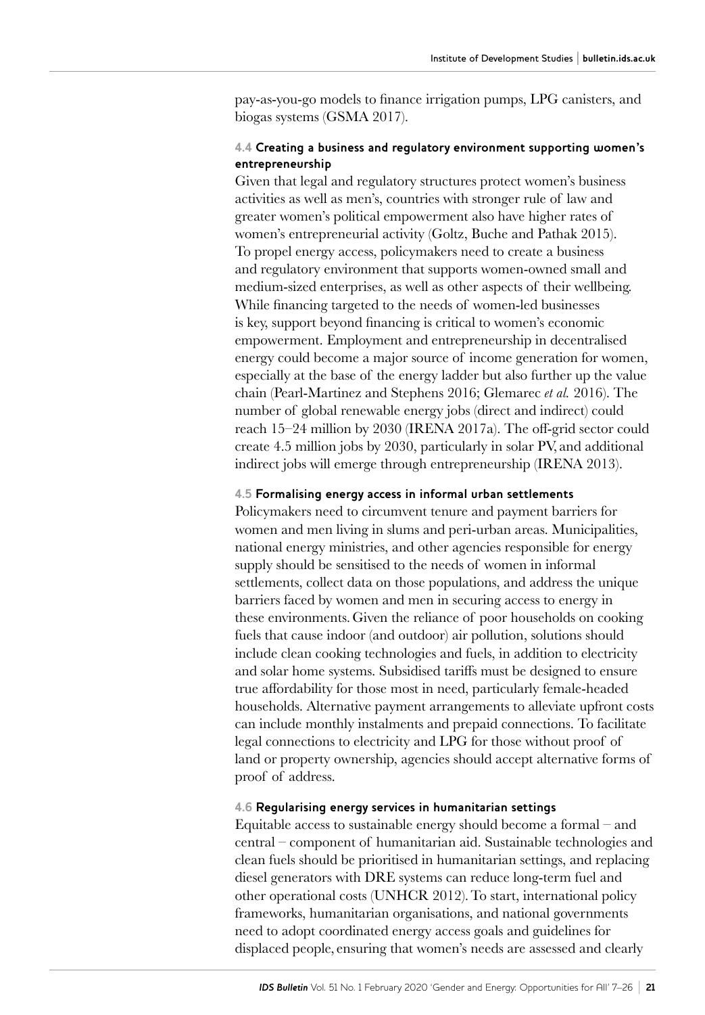pay‑as‑you‑go models to finance irrigation pumps, LPG canisters, and biogas systems (GSMA 2017).

#### **4.4 Creating a business and regulatory environment supporting women's entrepreneurship**

Given that legal and regulatory structures protect women's business activities as well as men's, countries with stronger rule of law and greater women's political empowerment also have higher rates of women's entrepreneurial activity (Goltz, Buche and Pathak 2015). To propel energy access, policymakers need to create a business and regulatory environment that supports women-owned small and medium-sized enterprises, as well as other aspects of their wellbeing. While financing targeted to the needs of women-led businesses is key, support beyond financing is critical to women's economic empowerment. Employment and entrepreneurship in decentralised energy could become a major source of income generation for women, especially at the base of the energy ladder but also further up the value chain (Pearl-Martinez and Stephens 2016; Glemarec *et al.* 2016). The number of global renewable energy jobs (direct and indirect) could reach 15–24 million by 2030 (IRENA 2017a). The off-grid sector could create 4.5 million jobs by 2030, particularly in solar PV, and additional indirect jobs will emerge through entrepreneurship (IRENA 2013).

#### **4.5 Formalising energy access in informal urban settlements**

Policymakers need to circumvent tenure and payment barriers for women and men living in slums and peri-urban areas. Municipalities, national energy ministries, and other agencies responsible for energy supply should be sensitised to the needs of women in informal settlements, collect data on those populations, and address the unique barriers faced by women and men in securing access to energy in these environments.Given the reliance of poor households on cooking fuels that cause indoor (and outdoor) air pollution, solutions should include clean cooking technologies and fuels, in addition to electricity and solar home systems. Subsidised tariffs must be designed to ensure true affordability for those most in need, particularly female-headed households. Alternative payment arrangements to alleviate upfront costs can include monthly instalments and prepaid connections. To facilitate legal connections to electricity and LPG for those without proof of land or property ownership, agencies should accept alternative forms of proof of address.

#### **4.6 Regularising energy services in humanitarian settings**

Equitable access to sustainable energy should become a formal – and central – component of humanitarian aid. Sustainable technologies and clean fuels should be prioritised in humanitarian settings, and replacing diesel generators with DRE systems can reduce long-term fuel and other operational costs (UNHCR 2012).To start, international policy frameworks, humanitarian organisations, and national governments need to adopt coordinated energy access goals and guidelines for displaced people, ensuring that women's needs are assessed and clearly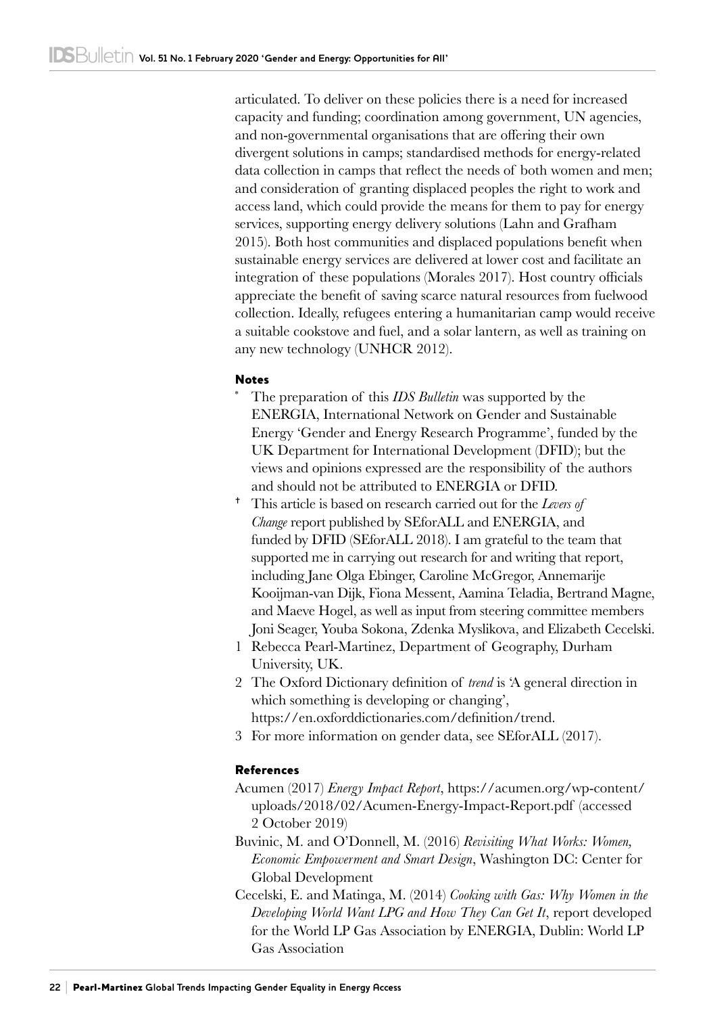articulated. To deliver on these policies there is a need for increased capacity and funding; coordination among government, UN agencies, and non-governmental organisations that are offering their own divergent solutions in camps; standardised methods for energy-related data collection in camps that reflect the needs of both women and men; and consideration of granting displaced peoples the right to work and access land, which could provide the means for them to pay for energy services, supporting energy delivery solutions (Lahn and Grafham 2015). Both host communities and displaced populations benefit when sustainable energy services are delivered at lower cost and facilitate an integration of these populations (Morales 2017). Host country officials appreciate the benefit of saving scarce natural resources from fuelwood collection. Ideally, refugees entering a humanitarian camp would receive a suitable cookstove and fuel, and a solar lantern, as well as training on any new technology (UNHCR 2012).

#### Notes

- The preparation of this *IDS Bulletin* was supported by the ENERGIA, International Network on Gender and Sustainable Energy 'Gender and Energy Research Programme', funded by the UK Department for International Development (DFID); but the views and opinions expressed are the responsibility of the authors and should not be attributed to ENERGIA or DFID.
- This article is based on research carried out for the *Levers of Change* report published by SEforALL and ENERGIA, and funded by DFID (SEforALL 2018). I am grateful to the team that supported me in carrying out research for and writing that report, including Jane Olga Ebinger, Caroline McGregor, Annemarije Kooijman‑van Dijk, Fiona Messent, Aamina Teladia, Bertrand Magne, and Maeve Hogel, as well as input from steering committee members Joni Seager, Youba Sokona, Zdenka Myslikova, and Elizabeth Cecelski.
- 1 Rebecca Pearl-Martinez, Department of Geography, Durham University, UK.
- 2 The Oxford Dictionary definition of *trend* is 'A general direction in which something is developing or changing', [https://en.oxforddictionaries.com/definition/trend.](https://en.oxforddictionaries.com/definition/trend)
- 3 For more information on gender data, see SEforALL (2017).

## References

- Acumen (2017) *Energy Impact Report*, [https://acumen.org/wp-content/](https://acumen.org/wp-content/uploads/2018/02/Acumen-Energy-Impact-Report.pdf) [uploads/2018/02/Acumen-Energy-Impact-Report.pdf](https://acumen.org/wp-content/uploads/2018/02/Acumen-Energy-Impact-Report.pdf) (accessed 2 October 2019)
- Buvinic, M. and O'Donnell, M. (2016) *Revisiting What Works: Women, Economic Empowerment and Smart Design*, Washington DC: Center for Global Development
- Cecelski, E. and Matinga, M. (2014) *Cooking with Gas: Why Women in the Developing World Want LPG and How They Can Get It*, report developed for the World LP Gas Association by ENERGIA, Dublin: World LP Gas Association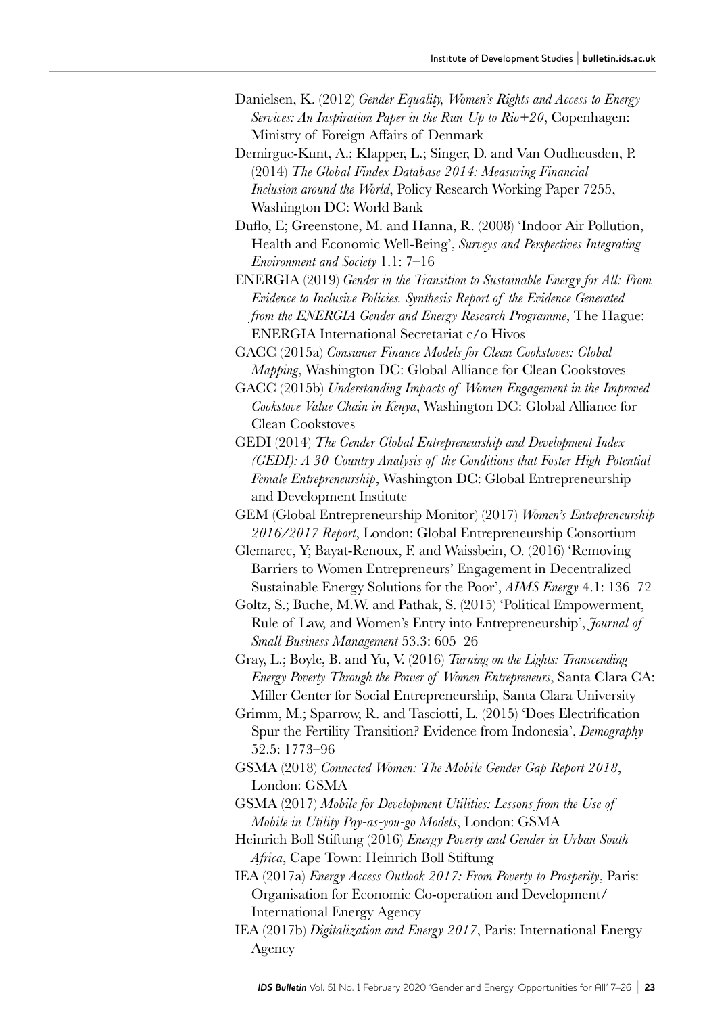- Danielsen, K. (2012) *Gender Equality, Women's Rights and Access to Energy Services: An Inspiration Paper in the Run-Up to Rio+20*, Copenhagen: Ministry of Foreign Affairs of Denmark
- Demirguc-Kunt, A.; Klapper, L.; Singer, D. and Van Oudheusden, P. (2014) *The Global Findex Database 2014: Measuring Financial Inclusion around the World*, Policy Research Working Paper 7255, Washington DC: World Bank
- Duflo, E; Greenstone, M. and Hanna, R. (2008) 'Indoor Air Pollution, Health and Economic Well-Being', *Surveys and Perspectives Integrating Environment and Society* 1.1: 7–16
- ENERGIA (2019) *Gender in the Transition to Sustainable Energy for All: From Evidence to Inclusive Policies. Synthesis Report of the Evidence Generated from the ENERGIA Gender and Energy Research Programme*, The Hague: ENERGIA International Secretariat c/o Hivos
- GACC (2015a) *Consumer Finance Models for Clean Cookstoves: Global Mapping*, Washington DC: Global Alliance for Clean Cookstoves
- GACC (2015b) *Understanding Impacts of Women Engagement in the Improved Cookstove Value Chain in Kenya*, Washington DC: Global Alliance for Clean Cookstoves
- GEDI (2014) *The Gender Global Entrepreneurship and Development Index (GEDI): A 30-Country Analysis of the Conditions that Foster High-Potential Female Entrepreneurship*, Washington DC: Global Entrepreneurship and Development Institute
- GEM (Global Entrepreneurship Monitor) (2017) *Women's Entrepreneurship 2016/2017 Report*, London: Global Entrepreneurship Consortium
- Glemarec, Y; Bayat-Renoux, F. and Waissbein, O. (2016) 'Removing Barriers to Women Entrepreneurs' Engagement in Decentralized Sustainable Energy Solutions for the Poor', *AIMS Energy* 4.1: 136–72
- Goltz, S.; Buche, M.W. and Pathak, S. (2015) 'Political Empowerment, Rule of Law, and Women's Entry into Entrepreneurship', *Journal of Small Business Management* 53.3: 605–26
- Gray, L.; Boyle, B. and Yu, V. (2016) *Turning on the Lights: Transcending Energy Poverty Through the Power of Women Entrepreneurs*, Santa Clara CA: Miller Center for Social Entrepreneurship, Santa Clara University
- Grimm, M.; Sparrow, R. and Tasciotti, L. (2015) 'Does Electrification Spur the Fertility Transition? Evidence from Indonesia', *Demography* 52.5: 1773–96
- GSMA (2018) *Connected Women: The Mobile Gender Gap Report 2018*, London: GSMA
- GSMA (2017) *Mobile for Development Utilities: Lessons from the Use of Mobile in Utility Pay-as-you-go Models*, London: GSMA
- Heinrich Boll Stiftung (2016) *Energy Poverty and Gender in Urban South Africa*, Cape Town: Heinrich Boll Stiftung
- IEA (2017a) *Energy Access Outlook 2017: From Poverty to Prosperity*, Paris: Organisation for Economic Co-operation and Development/ International Energy Agency
- IEA (2017b) *Digitalization and Energy 2017*, Paris: International Energy Agency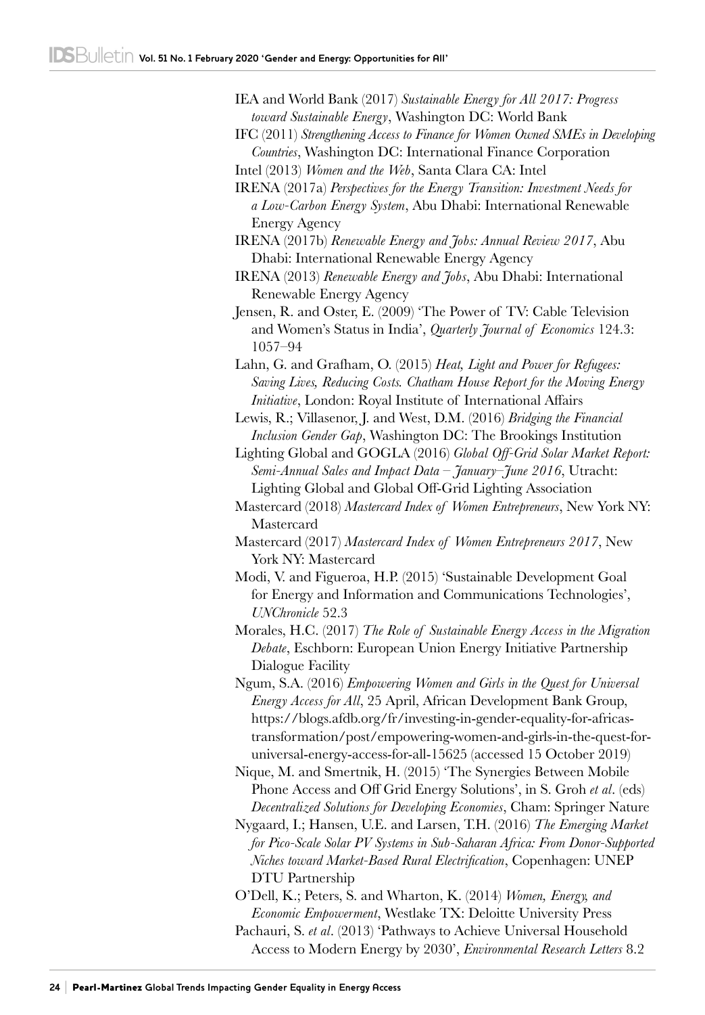- IEA and World Bank (2017) *Sustainable Energy for All 2017: Progress toward Sustainable Energy*, Washington DC: World Bank
- IFC (2011) *Strengthening Access to Finance for Women Owned SMEs in Developing Countries*, Washington DC: International Finance Corporation
- Intel (2013) *Women and the Web*, Santa Clara CA: Intel

IRENA (2017a) *Perspectives for the Energy Transition: Investment Needs for a Low-Carbon Energy System*, Abu Dhabi: International Renewable Energy Agency

- IRENA (2017b) *Renewable Energy and Jobs: Annual Review 2017*, Abu Dhabi: International Renewable Energy Agency
- IRENA (2013) *Renewable Energy and Jobs*, Abu Dhabi: International Renewable Energy Agency
- Jensen, R. and Oster, E. (2009) 'The Power of TV: Cable Television and Women's Status in India', *Quarterly Journal of Economics* 124.3: 1057–94
- Lahn, G. and Grafham, O. (2015) *Heat, Light and Power for Refugees: Saving Lives, Reducing Costs. Chatham House Report for the Moving Energy Initiative*, London: Royal Institute of International Affairs
- Lewis, R.; Villasenor, J. and West, D.M. (2016) *Bridging the Financial Inclusion Gender Gap*, Washington DC: The Brookings Institution
- Lighting Global and GOGLA (2016) *Global Off-Grid Solar Market Report: Semi-Annual Sales and Impact Data – January–June 2016*, Utracht: Lighting Global and Global Off-Grid Lighting Association
- Mastercard (2018) *Mastercard Index of Women Entrepreneurs*, New York NY: Mastercard
- Mastercard (2017) *Mastercard Index of Women Entrepreneurs 2017*, New York NY: Mastercard
- Modi, V. and Figueroa, H.P. (2015) 'Sustainable Development Goal for Energy and Information and Communications Technologies', *UNChronicle* 52.3
- Morales, H.C. (2017) *The Role of Sustainable Energy Access in the Migration Debate*, Eschborn: European Union Energy Initiative Partnership Dialogue Facility
- Ngum, S.A. (2016) *Empowering Women and Girls in the Quest for Universal Energy Access for All*, 25 April, African Development Bank Group, [https://blogs.afdb.org/fr/investing-in-gender-equality-for-africas](https://blogs.afdb.org/fr/investing-in-gender-equality-for-africas-transformation/post/empowering-women-and-girls-in-the-quest-for-universal-energy-access-for-all-15625)[transformation/post/empowering-women-and-girls-in-the-quest-for](https://blogs.afdb.org/fr/investing-in-gender-equality-for-africas-transformation/post/empowering-women-and-girls-in-the-quest-for-universal-energy-access-for-all-15625)[universal-energy-access-for-all-15625](https://blogs.afdb.org/fr/investing-in-gender-equality-for-africas-transformation/post/empowering-women-and-girls-in-the-quest-for-universal-energy-access-for-all-15625) (accessed 15 October 2019)
- Nique, M. and Smertnik, H. (2015) 'The Synergies Between Mobile Phone Access and Off Grid Energy Solutions', in S. Groh *et al*. (eds) *Decentralized Solutions for Developing Economies*, Cham: Springer Nature
- Nygaard, I.; Hansen, U.E. and Larsen, T.H. (2016) *The Emerging Market for Pico-Scale Solar PV Systems in Sub-Saharan Africa: From Donor-Supported Niches toward Market-Based Rural Electrification*, Copenhagen: UNEP DTU Partnership
- O'Dell, K.; Peters, S. and Wharton, K. (2014) *Women, Energy, and Economic Empowerment*, Westlake TX: Deloitte University Press Pachauri, S. *et al*. (2013) 'Pathways to Achieve Universal Household Access to Modern Energy by 2030', *Environmental Research Letters* 8.2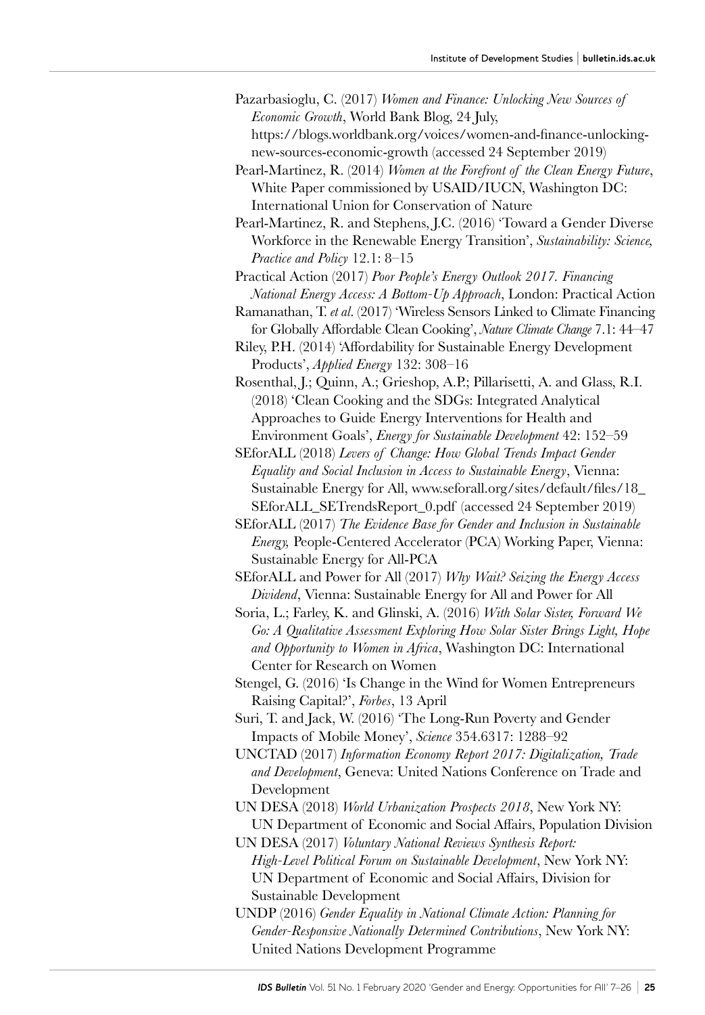- Pazarbasioglu, C. (2017) *Women and Finance: Unlocking New Sources of Economic Growth*, World Bank Blog, 24 July, [https://blogs.worldbank.org/voices/women-and-finance-unlocking](https://blogs.worldbank.org/voices/women-and-finance-unlocking-new-sources-economic-growth)[new-sources-economic-growth](https://blogs.worldbank.org/voices/women-and-finance-unlocking-new-sources-economic-growth) (accessed 24 September 2019)
- Pearl-Martinez, R. (2014) *Women at the Forefront of the Clean Energy Future*, White Paper commissioned by USAID/IUCN, Washington DC: International Union for Conservation of Nature
- Pearl-Martinez, R. and Stephens, J.C. (2016) 'Toward a Gender Diverse Workforce in the Renewable Energy Transition', *Sustainability: Science, Practice and Policy* 12.1: 8–15
- Practical Action (2017) *Poor People's Energy Outlook 2017. Financing National Energy Access: A Bottom-Up Approach*, London: Practical Action
- Ramanathan, T. *et al*. (2017) 'Wireless Sensors Linked to Climate Financing for Globally Affordable Clean Cooking', *Nature Climate Change* 7.1: 44–47
- Riley, P.H. (2014) 'Affordability for Sustainable Energy Development Products', *Applied Energy* 132: 308–16
- Rosenthal, J.; Quinn, A.; Grieshop, A.P.; Pillarisetti, A. and Glass, R.I. (2018) 'Clean Cooking and the SDGs: Integrated Analytical Approaches to Guide Energy Interventions for Health and Environment Goals', *Energy for Sustainable Development* 42: 152–59
- SEforALL (2018) *Levers of Change: How Global Trends Impact Gender Equality and Social Inclusion in Access to Sustainable Energy*, Vienna: Sustainable Energy for All, [www.seforall.org/sites/default/files/18\\_](http://www.seforall.org/sites/default/files/18_SEforALL_SETrendsReport_0.pdf) [SEforALL\\_SETrendsReport\\_0.pdf](http://www.seforall.org/sites/default/files/18_SEforALL_SETrendsReport_0.pdf) (accessed 24 September 2019)
- SEforALL (2017) *The Evidence Base for Gender and Inclusion in Sustainable Energy,* People-Centered Accelerator (PCA) Working Paper, Vienna: Sustainable Energy for All-PCA
- SEforALL and Power for All (2017) *Why Wait? Seizing the Energy Access Dividend*, Vienna: Sustainable Energy for All and Power for All
- Soria, L.; Farley, K. and Glinski, A. (2016) *With Solar Sister, Forward We Go: A Qualitative Assessment Exploring How Solar Sister Brings Light, Hope and Opportunity to Women in Africa*, Washington DC: International Center for Research on Women
- Stengel, G. (2016) 'Is Change in the Wind for Women Entrepreneurs Raising Capital?', *Forbes*, 13 April
- Suri, T. and Jack, W. (2016) 'The Long-Run Poverty and Gender Impacts of Mobile Money', *Science* 354.6317: 1288–92
- UNCTAD (2017) *Information Economy Report 2017: Digitalization, Trade and Development*, Geneva: United Nations Conference on Trade and Development
- UN DESA (2018) *World Urbanization Prospects 2018*, New York NY: UN Department of Economic and Social Affairs, Population Division
- UN DESA (2017) *Voluntary National Reviews Synthesis Report: High‑Level Political Forum on Sustainable Development*, New York NY: UN Department of Economic and Social Affairs, Division for Sustainable Development
- UNDP (2016) *Gender Equality in National Climate Action: Planning for Gender-Responsive Nationally Determined Contributions*, New York NY: United Nations Development Programme